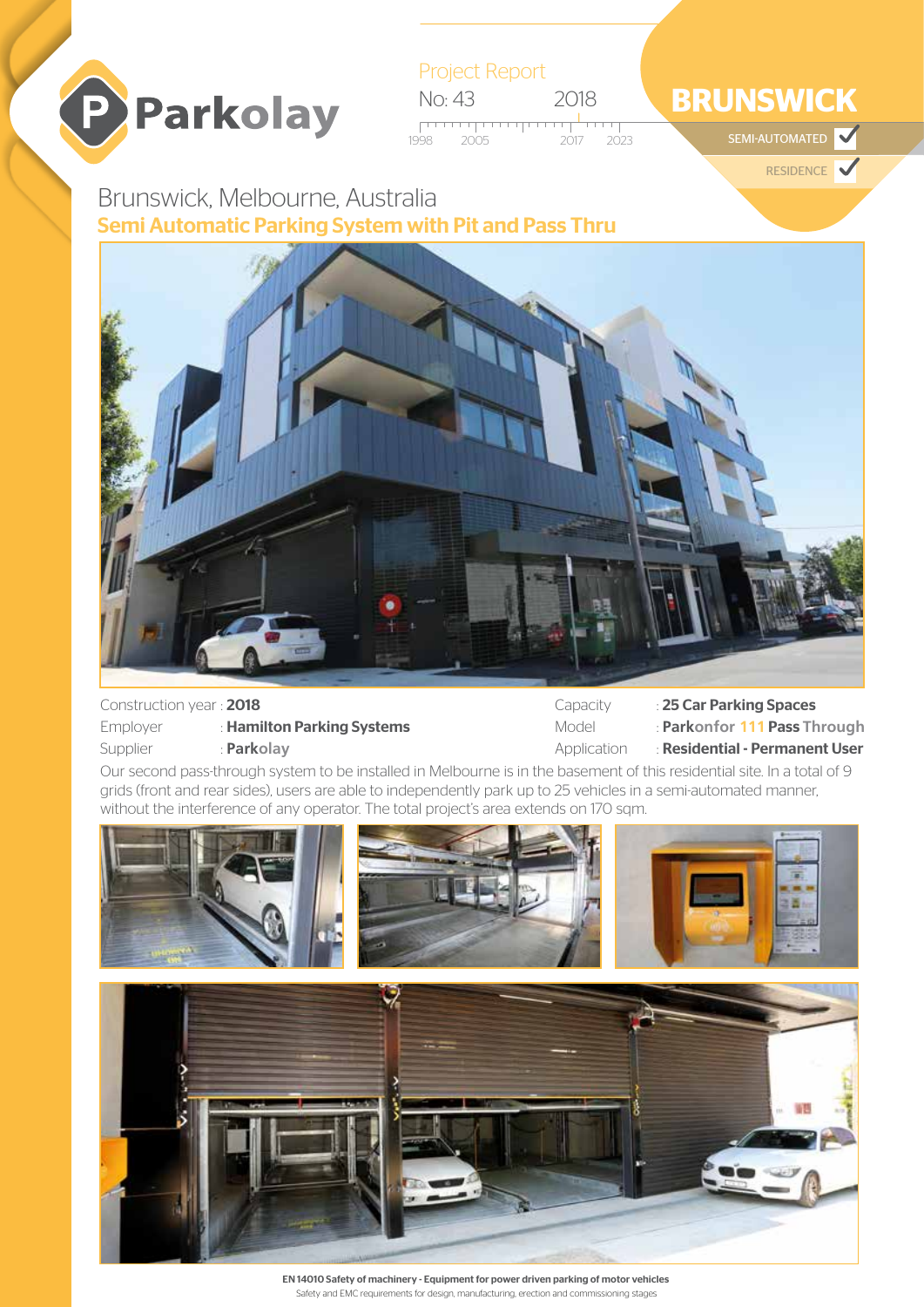

Project Report No: 43 2018 2005 2017 2023

# **BRUNSWICK**

SEMI-AUTOMATED

RESIDENCE

## Brunswick, Melbourne, Australia Semi Automatic Parking System with Pit and Pass Thru



#### Construction year : 2018

| Employer | : Hamilton Parking Systems |
|----------|----------------------------|
| Supplier | : Parkolay                 |

Capacity : 25 Car Parking Spaces Model : **Parkonfor 111** Pass **Through** Application : Residential - Permanent User

Our second pass-through system to be installed in Melbourne is in the basement of this residential site. In a total of 9 grids (front and rear sides), users are able to independently park up to 25 vehicles in a semi-automated manner, without the interference of any operator. The total project's area extends on 170 sqm.



EN 14010 Safety of machinery - Equipment for power driven parking of motor vehicles Safety and EMC requirements for design, manufacturing, erection and commissioning stages